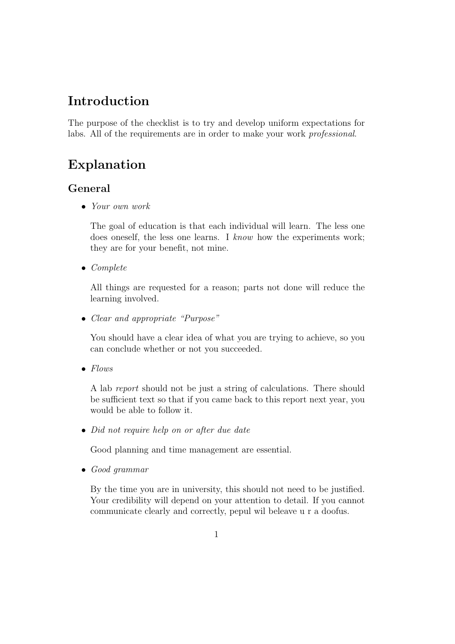# Introduction

The purpose of the checklist is to try and develop uniform expectations for labs. All of the requirements are in order to make your work professional.

# Explanation

## General

• Your own work

The goal of education is that each individual will learn. The less one does oneself, the less one learns. I know how the experiments work; they are for your benefit, not mine.

• Complete

All things are requested for a reason; parts not done will reduce the learning involved.

• Clear and appropriate "Purpose"

You should have a clear idea of what you are trying to achieve, so you can conclude whether or not you succeeded.

• Flows

A lab report should not be just a string of calculations. There should be sufficient text so that if you came back to this report next year, you would be able to follow it.

• Did not require help on or after due date

Good planning and time management are essential.

• Good grammar

By the time you are in university, this should not need to be justified. Your credibility will depend on your attention to detail. If you cannot communicate clearly and correctly, pepul wil beleave u r a doofus.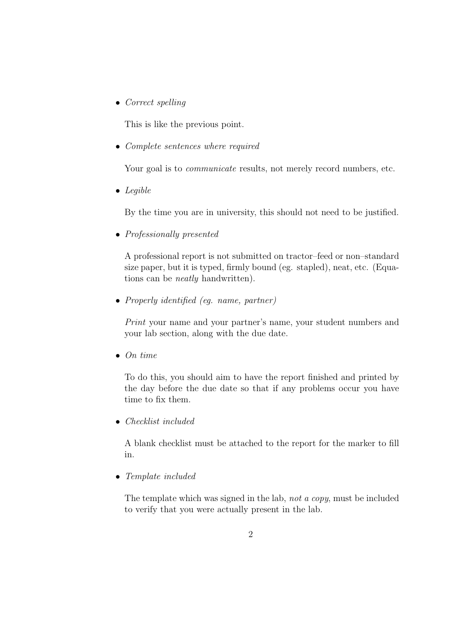• Correct spelling

This is like the previous point.

• Complete sentences where required

Your goal is to *communicate* results, not merely record numbers, etc.

• Legible

By the time you are in university, this should not need to be justified.

• Professionally presented

A professional report is not submitted on tractor–feed or non–standard size paper, but it is typed, firmly bound (eg. stapled), neat, etc. (Equations can be neatly handwritten).

• Properly identified (eq. name, partner)

Print your name and your partner's name, your student numbers and your lab section, along with the due date.

• On time

To do this, you should aim to have the report finished and printed by the day before the due date so that if any problems occur you have time to fix them.

• Checklist included

A blank checklist must be attached to the report for the marker to fill in.

• Template included

The template which was signed in the lab, not a copy, must be included to verify that you were actually present in the lab.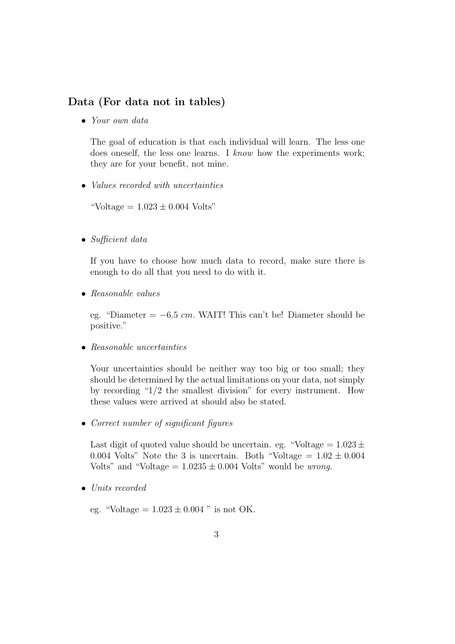### Data (For data not in tables)

• Your own data

The goal of education is that each individual will learn. The less one does oneself, the less one learns. I know how the experiments work; they are for your benefit, not mine.

• Values recorded with uncertainties

"Voltage  $= 1.023 \pm 0.004$  Volts"

• Sufficient data

If you have to choose how much data to record, make sure there is enough to do all that you need to do with it.

• Reasonable values

eg. "Diameter =  $-6.5$  cm. WAIT! This can't be! Diameter should be positive."

• Reasonable uncertainties

Your uncertainties should be neither way too big or too small; they should be determined by the actual limitations on your data, not simply by recording "1/2 the smallest division" for every instrument. How these values were arrived at should also be stated.

• Correct number of significant figures

Last digit of quoted value should be uncertain. eg. "Voltage  $= 1.023 \pm 1.023$ " 0.004 Volts" Note the 3 is uncertain. Both "Voltage  $= 1.02 \pm 0.004$ Volts" and "Voltage  $= 1.0235 \pm 0.004$  Volts" would be *wrong*.

• Units recorded

eg. "Voltage =  $1.023 \pm 0.004$ " is not OK.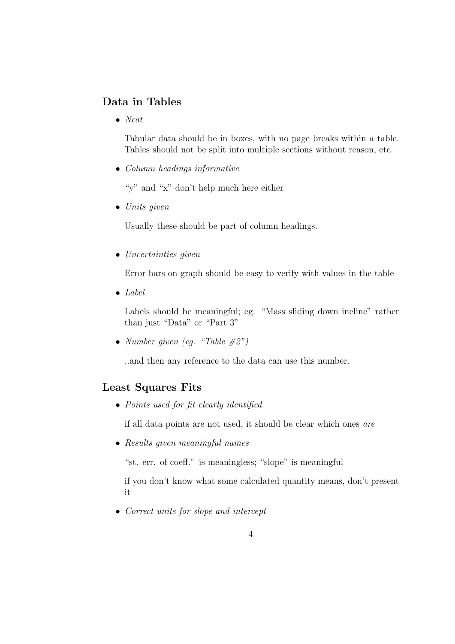## Data in Tables

• Neat

Tabular data should be in boxes, with no page breaks within a table. Tables should not be split into multiple sections without reason, etc.

• Column headings informative

"y" and "x" don't help much here either

• Units given

Usually these should be part of column headings.

• Uncertainties given

Error bars on graph should be easy to verify with values in the table

 $\bullet$  Label

Labels should be meaningful; eg. "Mass sliding down incline" rather than just "Data" or "Part 3"

• Number given (eq. "Table  $\#2"$ )

..and then any reference to the data can use this number.

### Least Squares Fits

• Points used for fit clearly identified

if all data points are not used, it should be clear which ones are

• Results given meaningful names

"st. err. of coeff." is meaningless; "slope" is meaningful

if you don't know what some calculated quantity means, don't present it

• Correct units for slope and intercept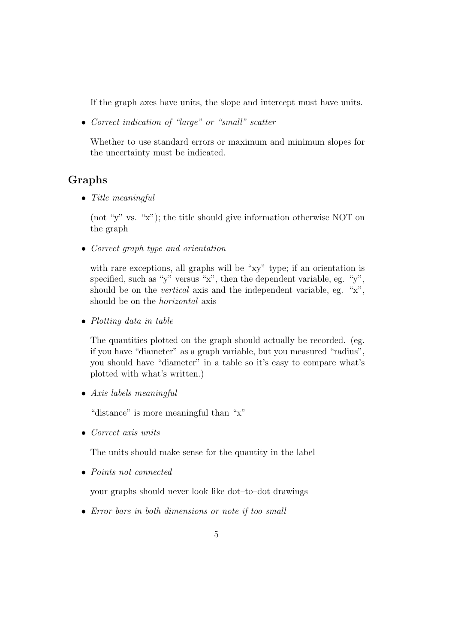If the graph axes have units, the slope and intercept must have units.

• Correct indication of "large" or "small" scatter

Whether to use standard errors or maximum and minimum slopes for the uncertainty must be indicated.

### Graphs

• Title meaningful

(not "y" vs. "x"); the title should give information otherwise NOT on the graph

• Correct graph type and orientation

with rare exceptions, all graphs will be "xy" type; if an orientation is specified, such as "y" versus "x", then the dependent variable, eg. "y", should be on the vertical axis and the independent variable, eg. "x", should be on the horizontal axis

• Plotting data in table

The quantities plotted on the graph should actually be recorded. (eg. if you have "diameter" as a graph variable, but you measured "radius", you should have "diameter" in a table so it's easy to compare what's plotted with what's written.)

• Axis labels meaningful

"distance" is more meaningful than "x"

• Correct axis units

The units should make sense for the quantity in the label

• Points not connected

your graphs should never look like dot–to–dot drawings

• Error bars in both dimensions or note if too small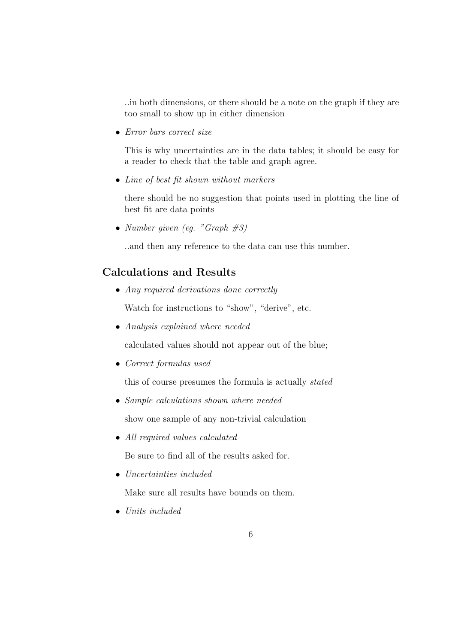..in both dimensions, or there should be a note on the graph if they are too small to show up in either dimension

• Error bars correct size

This is why uncertainties are in the data tables; it should be easy for a reader to check that the table and graph agree.

• Line of best fit shown without markers

there should be no suggestion that points used in plotting the line of best fit are data points

• Number given (eg. "Graph  $\#3$ )

..and then any reference to the data can use this number.

## Calculations and Results

• Any required derivations done correctly

Watch for instructions to "show", "derive", etc.

• Analysis explained where needed

calculated values should not appear out of the blue;

• Correct formulas used

this of course presumes the formula is actually stated

- Sample calculations shown where needed show one sample of any non-trivial calculation
- All required values calculated

Be sure to find all of the results asked for.

• Uncertainties included

Make sure all results have bounds on them.

• Units included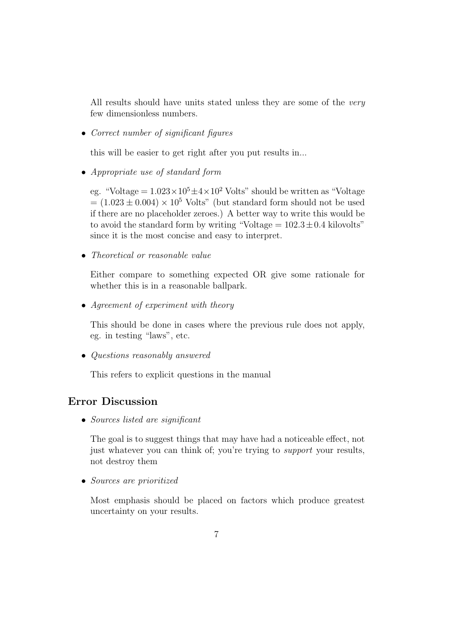All results should have units stated unless they are some of the *very* few dimensionless numbers.

• Correct number of significant figures

this will be easier to get right after you put results in...

• Appropriate use of standard form

eg. "Voltage =  $1.023 \times 10^5 \pm 4 \times 10^2$  Volts" should be written as "Voltage"  $= (1.023 \pm 0.004) \times 10^5$  Volts" (but standard form should not be used if there are no placeholder zeroes.) A better way to write this would be to avoid the standard form by writing "Voltage  $= 102.3 \pm 0.4$  kilovolts" since it is the most concise and easy to interpret.

• Theoretical or reasonable value

Either compare to something expected OR give some rationale for whether this is in a reasonable ballpark.

• Agreement of experiment with theory

This should be done in cases where the previous rule does not apply, eg. in testing "laws", etc.

• Questions reasonably answered

This refers to explicit questions in the manual

## Error Discussion

• Sources listed are significant

The goal is to suggest things that may have had a noticeable effect, not just whatever you can think of; you're trying to *support* your results, not destroy them

• Sources are prioritized

Most emphasis should be placed on factors which produce greatest uncertainty on your results.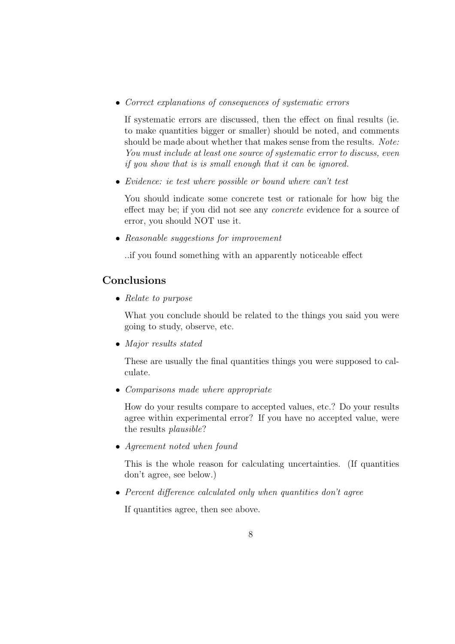• Correct explanations of consequences of systematic errors

If systematic errors are discussed, then the effect on final results (ie. to make quantities bigger or smaller) should be noted, and comments should be made about whether that makes sense from the results. Note: You must include at least one source of systematic error to discuss, even if you show that is is small enough that it can be ignored.

• Evidence: ie test where possible or bound where can't test

You should indicate some concrete test or rationale for how big the effect may be; if you did not see any concrete evidence for a source of error, you should NOT use it.

• Reasonable suggestions for improvement

..if you found something with an apparently noticeable effect

## Conclusions

• Relate to purpose

What you conclude should be related to the things you said you were going to study, observe, etc.

• Major results stated

These are usually the final quantities things you were supposed to calculate.

• Comparisons made where appropriate

How do your results compare to accepted values, etc.? Do your results agree within experimental error? If you have no accepted value, were the results plausible?

• Agreement noted when found

This is the whole reason for calculating uncertainties. (If quantities don't agree, see below.)

• Percent difference calculated only when quantities don't agree

If quantities agree, then see above.